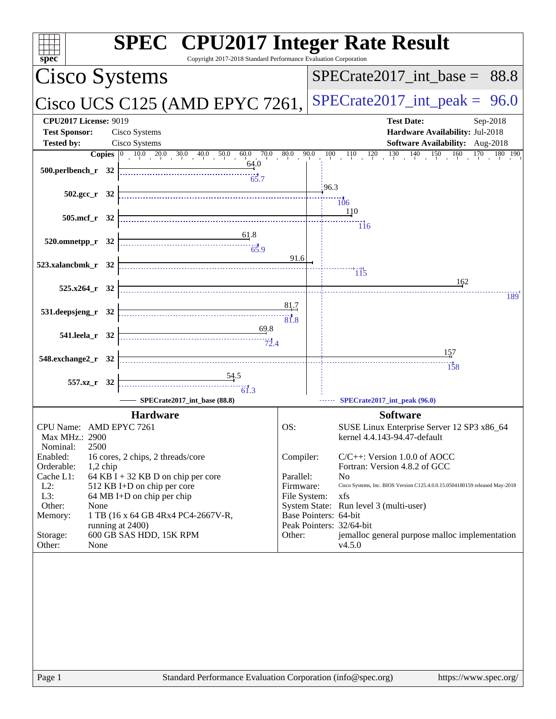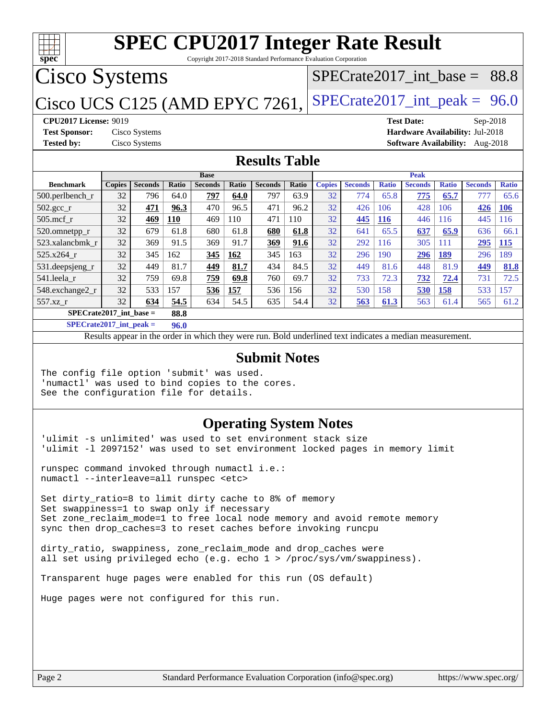

Copyright 2017-2018 Standard Performance Evaluation Corporation

# Cisco Systems

## Cisco UCS C125 (AMD EPYC 7261, SPECrate 2017\_int\_peak =  $96.0$

SPECrate2017 int\_base =  $88.8$ 

### **[CPU2017 License:](http://www.spec.org/auto/cpu2017/Docs/result-fields.html#CPU2017License)** 9019 **[Test Date:](http://www.spec.org/auto/cpu2017/Docs/result-fields.html#TestDate)** Sep-2018

**[Test Sponsor:](http://www.spec.org/auto/cpu2017/Docs/result-fields.html#TestSponsor)** Cisco Systems **[Hardware Availability:](http://www.spec.org/auto/cpu2017/Docs/result-fields.html#HardwareAvailability)** Jul-2018 **[Tested by:](http://www.spec.org/auto/cpu2017/Docs/result-fields.html#Testedby)** Cisco Systems **[Software Availability:](http://www.spec.org/auto/cpu2017/Docs/result-fields.html#SoftwareAvailability)** Aug-2018

### **[Results Table](http://www.spec.org/auto/cpu2017/Docs/result-fields.html#ResultsTable)**

|                                   | <b>Base</b>   |                |       |                |              |                |              | <b>Peak</b>   |                 |              |                |              |                |              |
|-----------------------------------|---------------|----------------|-------|----------------|--------------|----------------|--------------|---------------|-----------------|--------------|----------------|--------------|----------------|--------------|
| <b>Benchmark</b>                  | <b>Copies</b> | <b>Seconds</b> | Ratio | <b>Seconds</b> | <b>Ratio</b> | <b>Seconds</b> | <b>Ratio</b> | <b>Copies</b> | <b>Seconds</b>  | <b>Ratio</b> | <b>Seconds</b> | <b>Ratio</b> | <b>Seconds</b> | <b>Ratio</b> |
| $500.$ perlbench_r                | 32            | 796            | 64.0  | 797            | 64.0         | 797            | 63.9         | 32            | 774             | 65.8         | 775            | 65.7         | 777            | 65.6         |
| $502.\text{sec}$ <sub>r</sub>     | 32            | 471            | 96.3  | 470            | 96.5         | 471            | 96.2         | 32            | 426             | 106          | 428            | 106          | 426            | 106          |
| $505$ .mcf r                      | 32            | 469            | 110   | 469            | 110          | 471            | 110          | 32            | 445             | <b>116</b>   | 446            | 116          | 445            | 116          |
| 520.omnetpp_r                     | 32            | 679            | 61.8  | 680            | 61.8         | 680            | 61.8         | 32            | 641             | 65.5         | 637            | 65.9         | 636            | 66.1         |
| 523.xalancbmk r                   | 32            | 369            | 91.5  | 369            | 91.7         | 369            | 91.6         | 32            | 292             | 116          | 305            | 111          | 295            | <b>115</b>   |
| 525.x264 r                        | 32            | 345            | 162   | 345            | 162          | 345            | 163          | 32            | 296             | 190          | 296            | 189          | 296            | 189          |
| 531.deepsjeng_r                   | 32            | 449            | 81.7  | 449            | 81.7         | 434            | 84.5         | 32            | 449             | 81.6         | 448            | 81.9         | 449            | 81.8         |
| 541.leela r                       | 32            | 759            | 69.8  | 759            | 69.8         | 760            | 69.7         | 32            | 733             | 72.3         | 732            | 72.4         | 731            | 72.5         |
| 548.exchange2_r                   | 32            | 533            | 157   | 536            | 157          | 536            | 156          | 32            | 530             | 158          | 530            | 158          | 533            | 157          |
| 557.xz r                          | 32            | 634            | 54.5  | 634            | 54.5         | 635            | 54.4         | 32            | $\frac{563}{2}$ | 61.3         | 563            | 61.4         | 565            | 61.2         |
| $SPECrate2017$ int base =<br>88.8 |               |                |       |                |              |                |              |               |                 |              |                |              |                |              |

**[SPECrate2017\\_int\\_peak =](http://www.spec.org/auto/cpu2017/Docs/result-fields.html#SPECrate2017intpeak) 96.0**

Results appear in the [order in which they were run.](http://www.spec.org/auto/cpu2017/Docs/result-fields.html#RunOrder) Bold underlined text [indicates a median measurement.](http://www.spec.org/auto/cpu2017/Docs/result-fields.html#Median)

### **[Submit Notes](http://www.spec.org/auto/cpu2017/Docs/result-fields.html#SubmitNotes)**

The config file option 'submit' was used. 'numactl' was used to bind copies to the cores. See the configuration file for details.

### **[Operating System Notes](http://www.spec.org/auto/cpu2017/Docs/result-fields.html#OperatingSystemNotes)**

'ulimit -s unlimited' was used to set environment stack size 'ulimit -l 2097152' was used to set environment locked pages in memory limit

runspec command invoked through numactl i.e.: numactl --interleave=all runspec <etc>

Set dirty\_ratio=8 to limit dirty cache to 8% of memory Set swappiness=1 to swap only if necessary Set zone\_reclaim\_mode=1 to free local node memory and avoid remote memory sync then drop\_caches=3 to reset caches before invoking runcpu

dirty\_ratio, swappiness, zone\_reclaim\_mode and drop\_caches were all set using privileged echo (e.g. echo 1 > /proc/sys/vm/swappiness).

Transparent huge pages were enabled for this run (OS default)

Huge pages were not configured for this run.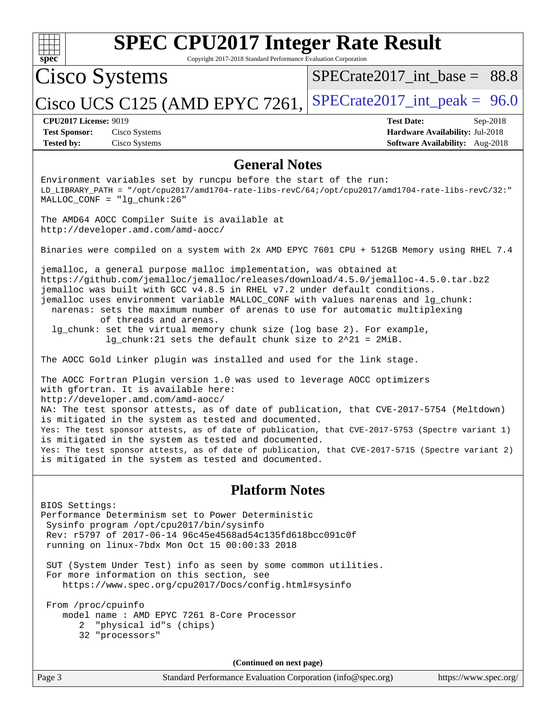

Copyright 2017-2018 Standard Performance Evaluation Corporation

# Cisco Systems

[SPECrate2017\\_int\\_base =](http://www.spec.org/auto/cpu2017/Docs/result-fields.html#SPECrate2017intbase) 88.8

Cisco UCS C125 (AMD EPYC 7261, [SPECrate2017\\_int\\_peak =](http://www.spec.org/auto/cpu2017/Docs/result-fields.html#SPECrate2017intpeak)  $96.0$ 

**[Tested by:](http://www.spec.org/auto/cpu2017/Docs/result-fields.html#Testedby)** Cisco Systems **[Software Availability:](http://www.spec.org/auto/cpu2017/Docs/result-fields.html#SoftwareAvailability)** Aug-2018

**[CPU2017 License:](http://www.spec.org/auto/cpu2017/Docs/result-fields.html#CPU2017License)** 9019 **[Test Date:](http://www.spec.org/auto/cpu2017/Docs/result-fields.html#TestDate)** Sep-2018 **[Test Sponsor:](http://www.spec.org/auto/cpu2017/Docs/result-fields.html#TestSponsor)** Cisco Systems **[Hardware Availability:](http://www.spec.org/auto/cpu2017/Docs/result-fields.html#HardwareAvailability)** Jul-2018

### **[General Notes](http://www.spec.org/auto/cpu2017/Docs/result-fields.html#GeneralNotes)**

Environment variables set by runcpu before the start of the run: LD\_LIBRARY\_PATH = "/opt/cpu2017/amd1704-rate-libs-revC/64;/opt/cpu2017/amd1704-rate-libs-revC/32:" MALLOC\_CONF = "lg\_chunk:26"

The AMD64 AOCC Compiler Suite is available at <http://developer.amd.com/amd-aocc/>

Binaries were compiled on a system with 2x AMD EPYC 7601 CPU + 512GB Memory using RHEL 7.4

jemalloc, a general purpose malloc implementation, was obtained at <https://github.com/jemalloc/jemalloc/releases/download/4.5.0/jemalloc-4.5.0.tar.bz2> jemalloc was built with GCC v4.8.5 in RHEL v7.2 under default conditions. jemalloc uses environment variable MALLOC\_CONF with values narenas and lg\_chunk: narenas: sets the maximum number of arenas to use for automatic multiplexing of threads and arenas.

 lg\_chunk: set the virtual memory chunk size (log base 2). For example, lg\_chunk:21 sets the default chunk size to 2^21 = 2MiB.

The AOCC Gold Linker plugin was installed and used for the link stage.

The AOCC Fortran Plugin version 1.0 was used to leverage AOCC optimizers with gfortran. It is available here: <http://developer.amd.com/amd-aocc/> NA: The test sponsor attests, as of date of publication, that CVE-2017-5754 (Meltdown) is mitigated in the system as tested and documented. Yes: The test sponsor attests, as of date of publication, that CVE-2017-5753 (Spectre variant 1) is mitigated in the system as tested and documented. Yes: The test sponsor attests, as of date of publication, that CVE-2017-5715 (Spectre variant 2) is mitigated in the system as tested and documented.

## **[Platform Notes](http://www.spec.org/auto/cpu2017/Docs/result-fields.html#PlatformNotes)**

BIOS Settings: Performance Determinism set to Power Deterministic Sysinfo program /opt/cpu2017/bin/sysinfo Rev: r5797 of 2017-06-14 96c45e4568ad54c135fd618bcc091c0f running on linux-7bdx Mon Oct 15 00:00:33 2018

 SUT (System Under Test) info as seen by some common utilities. For more information on this section, see <https://www.spec.org/cpu2017/Docs/config.html#sysinfo>

 From /proc/cpuinfo model name : AMD EPYC 7261 8-Core Processor 2 "physical id"s (chips) 32 "processors"

**(Continued on next page)**

Page 3 Standard Performance Evaluation Corporation [\(info@spec.org\)](mailto:info@spec.org) <https://www.spec.org/>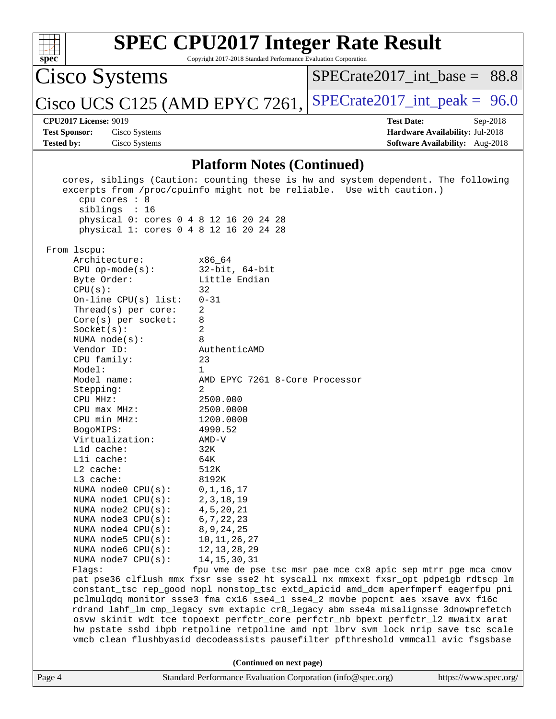| S<br>æ<br>I)<br>C |  |  |  |  |  |
|-------------------|--|--|--|--|--|

Copyright 2017-2018 Standard Performance Evaluation Corporation

Cisco Systems

[SPECrate2017\\_int\\_base =](http://www.spec.org/auto/cpu2017/Docs/result-fields.html#SPECrate2017intbase) 88.8

Cisco UCS C125 (AMD EPYC 7261, [SPECrate2017\\_int\\_peak =](http://www.spec.org/auto/cpu2017/Docs/result-fields.html#SPECrate2017intpeak)  $96.0$ 

**[Tested by:](http://www.spec.org/auto/cpu2017/Docs/result-fields.html#Testedby)** Cisco Systems **[Software Availability:](http://www.spec.org/auto/cpu2017/Docs/result-fields.html#SoftwareAvailability)** Aug-2018

**[CPU2017 License:](http://www.spec.org/auto/cpu2017/Docs/result-fields.html#CPU2017License)** 9019 **[Test Date:](http://www.spec.org/auto/cpu2017/Docs/result-fields.html#TestDate)** Sep-2018 **[Test Sponsor:](http://www.spec.org/auto/cpu2017/Docs/result-fields.html#TestSponsor)** Cisco Systems **[Hardware Availability:](http://www.spec.org/auto/cpu2017/Docs/result-fields.html#HardwareAvailability)** Jul-2018

### **[Platform Notes \(Continued\)](http://www.spec.org/auto/cpu2017/Docs/result-fields.html#PlatformNotes)**

|        | cpu cores : 8<br>siblings : 16<br>physical 0: cores 0 4 8 12 16 20 24 28                                                                                                                                                                                                                                                                                                                                                                                                                                                                                                                  | cores, siblings (Caution: counting these is hw and system dependent. The following<br>excerpts from /proc/cpuinfo might not be reliable. Use with caution.)                                                                                                                                                                                                                                                                                                                                                                                                                                                        |                       |
|--------|-------------------------------------------------------------------------------------------------------------------------------------------------------------------------------------------------------------------------------------------------------------------------------------------------------------------------------------------------------------------------------------------------------------------------------------------------------------------------------------------------------------------------------------------------------------------------------------------|--------------------------------------------------------------------------------------------------------------------------------------------------------------------------------------------------------------------------------------------------------------------------------------------------------------------------------------------------------------------------------------------------------------------------------------------------------------------------------------------------------------------------------------------------------------------------------------------------------------------|-----------------------|
|        | physical 1: cores 0 4 8 12 16 20 24 28                                                                                                                                                                                                                                                                                                                                                                                                                                                                                                                                                    |                                                                                                                                                                                                                                                                                                                                                                                                                                                                                                                                                                                                                    |                       |
|        |                                                                                                                                                                                                                                                                                                                                                                                                                                                                                                                                                                                           |                                                                                                                                                                                                                                                                                                                                                                                                                                                                                                                                                                                                                    |                       |
|        | From lscpu:<br>Architecture:<br>$CPU$ op-mode(s):<br>Byte Order:<br>CPU(s):<br>On-line CPU $(s)$ list:<br>Thread( $s$ ) per core:<br>$Core(s)$ per socket:<br>Socket(s):<br>NUMA $node(s)$ :<br>Vendor ID:<br>CPU family:<br>Model:<br>Model name:<br>Stepping:<br>CPU MHz:<br>$CPU$ $max$ $MHz$ :<br>CPU min MHz:<br>BogoMIPS:<br>Virtualization:<br>Lld cache:<br>Lli cache:<br>$L2$ cache:<br>L3 cache:<br>NUMA $node0$ $CPU(s)$ :<br>NUMA $node1$ $CPU(s):$<br>NUMA $node2$ $CPU(s):$<br>NUMA node3 CPU(s):<br>NUMA $node4$ $CPU(s):$<br>NUMA $node5$ $CPU(s):$<br>NUMA node6 CPU(s): | x86_64<br>32-bit, 64-bit<br>Little Endian<br>32<br>$0 - 31$<br>2<br>8<br>2<br>8<br>AuthenticAMD<br>23<br>$\mathbf{1}$<br>AMD EPYC 7261 8-Core Processor<br>2<br>2500.000<br>2500.0000<br>1200.0000<br>4990.52<br>AMD-V<br>32K<br>64K<br>512K<br>8192K<br>0, 1, 16, 17<br>2, 3, 18, 19<br>4, 5, 20, 21<br>6, 7, 22, 23<br>8, 9, 24, 25<br>10, 11, 26, 27<br>12, 13, 28, 29                                                                                                                                                                                                                                          |                       |
|        | NUMA node7 CPU(s):                                                                                                                                                                                                                                                                                                                                                                                                                                                                                                                                                                        | 14, 15, 30, 31                                                                                                                                                                                                                                                                                                                                                                                                                                                                                                                                                                                                     |                       |
|        | Flaqs:                                                                                                                                                                                                                                                                                                                                                                                                                                                                                                                                                                                    | fpu vme de pse tsc msr pae mce cx8 apic sep mtrr pge mca cmov                                                                                                                                                                                                                                                                                                                                                                                                                                                                                                                                                      |                       |
|        |                                                                                                                                                                                                                                                                                                                                                                                                                                                                                                                                                                                           | pat pse36 clflush mmx fxsr sse sse2 ht syscall nx mmxext fxsr_opt pdpelgb rdtscp lm<br>constant_tsc rep_good nopl nonstop_tsc extd_apicid amd_dcm aperfmperf eagerfpu pni<br>pclmulqdq monitor ssse3 fma cx16 sse4_1 sse4_2 movbe popcnt aes xsave avx f16c<br>rdrand lahf_lm cmp_legacy svm extapic cr8_legacy abm sse4a misalignsse 3dnowprefetch<br>osvw skinit wdt tce topoext perfctr_core perfctr_nb bpext perfctr_12 mwaitx arat<br>hw_pstate ssbd ibpb retpoline retpoline_amd npt lbrv svm_lock nrip_save tsc_scale<br>vmcb_clean flushbyasid decodeassists pausefilter pfthreshold vmmcall avic fsgsbase |                       |
|        |                                                                                                                                                                                                                                                                                                                                                                                                                                                                                                                                                                                           | (Continued on next page)                                                                                                                                                                                                                                                                                                                                                                                                                                                                                                                                                                                           |                       |
| Page 4 |                                                                                                                                                                                                                                                                                                                                                                                                                                                                                                                                                                                           | Standard Performance Evaluation Corporation (info@spec.org)                                                                                                                                                                                                                                                                                                                                                                                                                                                                                                                                                        | https://www.spec.org/ |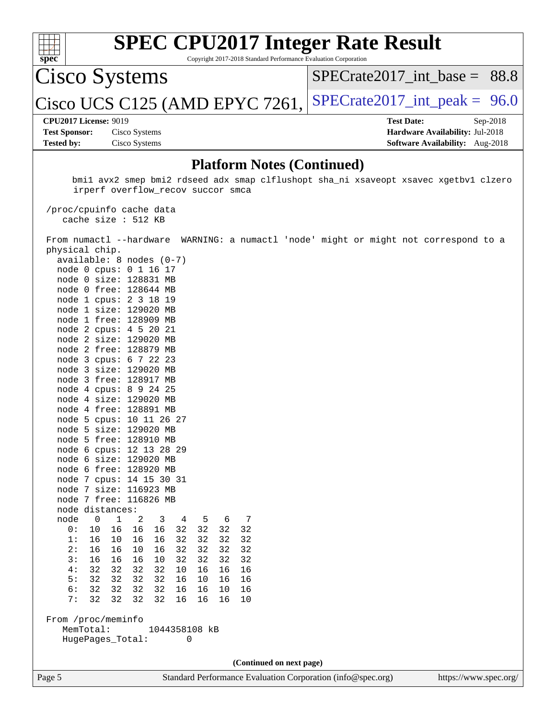

Copyright 2017-2018 Standard Performance Evaluation Corporation

Cisco Systems

SPECrate2017 int\_base =  $88.8$ 

Cisco UCS C125 (AMD EPYC 7261, SPECrate 2017\_int\_peak =  $96.0$ 

**[Test Sponsor:](http://www.spec.org/auto/cpu2017/Docs/result-fields.html#TestSponsor)** Cisco Systems **[Hardware Availability:](http://www.spec.org/auto/cpu2017/Docs/result-fields.html#HardwareAvailability)** Jul-2018 **[Tested by:](http://www.spec.org/auto/cpu2017/Docs/result-fields.html#Testedby)** Cisco Systems **[Software Availability:](http://www.spec.org/auto/cpu2017/Docs/result-fields.html#SoftwareAvailability)** Aug-2018

**[CPU2017 License:](http://www.spec.org/auto/cpu2017/Docs/result-fields.html#CPU2017License)** 9019 **[Test Date:](http://www.spec.org/auto/cpu2017/Docs/result-fields.html#TestDate)** Sep-2018

### **[Platform Notes \(Continued\)](http://www.spec.org/auto/cpu2017/Docs/result-fields.html#PlatformNotes)**

 bmi1 avx2 smep bmi2 rdseed adx smap clflushopt sha\_ni xsaveopt xsavec xgetbv1 clzero irperf overflow\_recov succor smca

 /proc/cpuinfo cache data cache size : 512 KB

 From numactl --hardware WARNING: a numactl 'node' might or might not correspond to a physical chip.

**(Continued on next page)**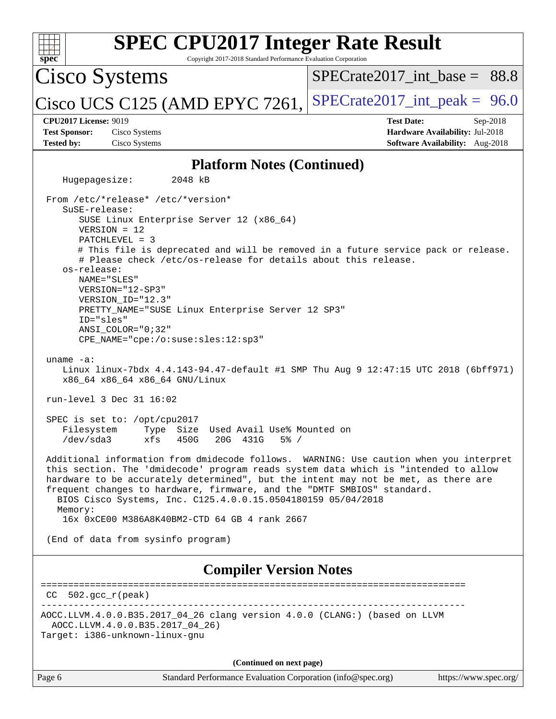| <b>SPEC CPU2017 Integer Rate Result</b>                                                                                                                                                                                                                                                                                                                                                                                                                                                                     |                                                                 |                                                                                         |  |                       |  |
|-------------------------------------------------------------------------------------------------------------------------------------------------------------------------------------------------------------------------------------------------------------------------------------------------------------------------------------------------------------------------------------------------------------------------------------------------------------------------------------------------------------|-----------------------------------------------------------------|-----------------------------------------------------------------------------------------|--|-----------------------|--|
| Spec<br><b>Cisco Systems</b>                                                                                                                                                                                                                                                                                                                                                                                                                                                                                | Copyright 2017-2018 Standard Performance Evaluation Corporation | $SPECrate2017\_int\_base = 88.8$                                                        |  |                       |  |
| Cisco UCS C125 (AMD EPYC 7261,                                                                                                                                                                                                                                                                                                                                                                                                                                                                              |                                                                 | $SPECTate2017\_int\_peak = 96.0$                                                        |  |                       |  |
| <b>CPU2017 License: 9019</b><br><b>Test Sponsor:</b><br>Cisco Systems<br><b>Tested by:</b><br>Cisco Systems                                                                                                                                                                                                                                                                                                                                                                                                 |                                                                 | <b>Test Date:</b><br>Hardware Availability: Jul-2018<br>Software Availability: Aug-2018 |  | Sep-2018              |  |
|                                                                                                                                                                                                                                                                                                                                                                                                                                                                                                             | <b>Platform Notes (Continued)</b>                               |                                                                                         |  |                       |  |
| 2048 kB<br>Hugepagesize:                                                                                                                                                                                                                                                                                                                                                                                                                                                                                    |                                                                 |                                                                                         |  |                       |  |
| From /etc/*release* /etc/*version*<br>$S$ uSE-release:<br>SUSE Linux Enterprise Server 12 (x86_64)<br>$VERSION = 12$<br>$PATCHLEVEL = 3$<br># This file is deprecated and will be removed in a future service pack or release.<br># Please check /etc/os-release for details about this release.<br>os-release:<br>NAME="SLES"<br>VERSION="12-SP3"<br>VERSION ID="12.3"<br>PRETTY_NAME="SUSE Linux Enterprise Server 12 SP3"<br>ID="sles"<br>$ANSI$ _COLOR=" $0:32$ "<br>CPE_NAME="cpe:/o:suse:sles:12:sp3" |                                                                 |                                                                                         |  |                       |  |
| uname $-a$ :<br>Linux linux-7bdx 4.4.143-94.47-default #1 SMP Thu Aug 9 12:47:15 UTC 2018 (6bff971)<br>x86_64 x86_64 x86_64 GNU/Linux                                                                                                                                                                                                                                                                                                                                                                       |                                                                 |                                                                                         |  |                       |  |
| run-level 3 Dec 31 16:02                                                                                                                                                                                                                                                                                                                                                                                                                                                                                    |                                                                 |                                                                                         |  |                       |  |
| SPEC is set to: /opt/cpu2017<br>Filesystem<br>Type Size<br>$/\text{dev/sda}$ 3<br>xfs<br>450G                                                                                                                                                                                                                                                                                                                                                                                                               | Used Avail Use% Mounted on<br>20G 431G<br>$5\%$ /               |                                                                                         |  |                       |  |
| Additional information from dmidecode follows. WARNING: Use caution when you interpret<br>this section. The 'dmidecode' program reads system data which is "intended to allow<br>hardware to be accurately determined", but the intent may not be met, as there are<br>frequent changes to hardware, firmware, and the "DMTF SMBIOS" standard.<br>BIOS Cisco Systems, Inc. C125.4.0.0.15.0504180159 05/04/2018<br>Memory:<br>16x 0xCE00 M386A8K40BM2-CTD 64 GB 4 rank 2667                                  |                                                                 |                                                                                         |  |                       |  |
| (End of data from sysinfo program)                                                                                                                                                                                                                                                                                                                                                                                                                                                                          |                                                                 |                                                                                         |  |                       |  |
|                                                                                                                                                                                                                                                                                                                                                                                                                                                                                                             | <b>Compiler Version Notes</b>                                   |                                                                                         |  |                       |  |
| $502. \text{gcc\_r}(\text{peak})$                                                                                                                                                                                                                                                                                                                                                                                                                                                                           |                                                                 |                                                                                         |  |                       |  |
| AOCC.LLVM.4.0.0.B35.2017_04_26 clang version 4.0.0 (CLANG:) (based on LLVM<br>AOCC.LLVM.4.0.0.B35.2017_04_26)<br>Target: i386-unknown-linux-gnu                                                                                                                                                                                                                                                                                                                                                             |                                                                 |                                                                                         |  |                       |  |
|                                                                                                                                                                                                                                                                                                                                                                                                                                                                                                             | (Continued on next page)                                        |                                                                                         |  |                       |  |
| Page 6                                                                                                                                                                                                                                                                                                                                                                                                                                                                                                      | Standard Performance Evaluation Corporation (info@spec.org)     |                                                                                         |  | https://www.spec.org/ |  |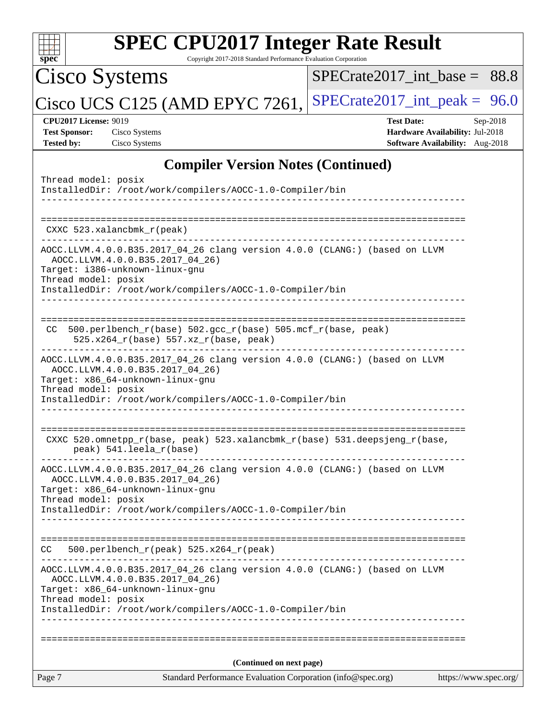| $spec^*$                                                                  | <b>SPEC CPU2017 Integer Rate Result</b><br>Copyright 2017-2018 Standard Performance Evaluation Corporation                                                                                                    |                                                                                                     |
|---------------------------------------------------------------------------|---------------------------------------------------------------------------------------------------------------------------------------------------------------------------------------------------------------|-----------------------------------------------------------------------------------------------------|
| Cisco Systems                                                             |                                                                                                                                                                                                               | $SPECTate2017$ int base = 88.8                                                                      |
|                                                                           | Cisco UCS C125 (AMD EPYC 7261,                                                                                                                                                                                | $SPECTate2017\_int\_peak = 96.0$                                                                    |
| <b>CPU2017 License: 9019</b><br><b>Test Sponsor:</b><br><b>Tested by:</b> | Cisco Systems<br>Cisco Systems                                                                                                                                                                                | <b>Test Date:</b><br>Sep-2018<br>Hardware Availability: Jul-2018<br>Software Availability: Aug-2018 |
|                                                                           | <b>Compiler Version Notes (Continued)</b>                                                                                                                                                                     |                                                                                                     |
| Thread model: posix                                                       | InstalledDir: /root/work/compilers/AOCC-1.0-Compiler/bin                                                                                                                                                      |                                                                                                     |
|                                                                           | CXXC 523.xalancbmk_r(peak)                                                                                                                                                                                    |                                                                                                     |
| Thread model: posix                                                       | AOCC.LLVM.4.0.0.B35.2017_04_26 clang version 4.0.0 (CLANG:) (based on LLVM<br>AOCC.LLVM.4.0.0.B35.2017 04 26)<br>Target: i386-unknown-linux-gnu<br>InstalledDir: /root/work/compilers/AOCC-1.0-Compiler/bin   |                                                                                                     |
| CC.                                                                       | 500.perlbench_r(base) 502.gcc_r(base) 505.mcf_r(base, peak)<br>525.x264_r(base) 557.xz_r(base, peak)                                                                                                          |                                                                                                     |
| Thread model: posix                                                       | AOCC.LLVM.4.0.0.B35.2017_04_26 clang version 4.0.0 (CLANG:) (based on LLVM<br>AOCC.LLVM.4.0.0.B35.2017_04_26)<br>Target: x86_64-unknown-linux-gnu<br>InstalledDir: /root/work/compilers/AOCC-1.0-Compiler/bin |                                                                                                     |
|                                                                           | CXXC 520.omnetpp_r(base, peak) 523.xalancbmk_r(base) 531.deepsjeng_r(base,<br>peak) 541.leela_r(base)                                                                                                         |                                                                                                     |
| Thread model: posix                                                       | AOCC.LLVM.4.0.0.B35.2017_04_26 clang version 4.0.0 (CLANG:) (based on LLVM<br>AOCC.LLVM.4.0.0.B35.2017_04_26)<br>Target: x86_64-unknown-linux-gnu<br>InstalledDir: /root/work/compilers/AOCC-1.0-Compiler/bin |                                                                                                     |
| CC.                                                                       | 500.perlbench_r(peak) 525.x264_r(peak)                                                                                                                                                                        |                                                                                                     |
| Thread model: posix                                                       | AOCC.LLVM.4.0.0.B35.2017_04_26 clang version 4.0.0 (CLANG:) (based on LLVM<br>AOCC.LLVM.4.0.0.B35.2017_04_26)<br>Target: x86_64-unknown-linux-gnu<br>InstalledDir: /root/work/compilers/AOCC-1.0-Compiler/bin |                                                                                                     |
|                                                                           |                                                                                                                                                                                                               |                                                                                                     |
|                                                                           | (Continued on next page)                                                                                                                                                                                      |                                                                                                     |
| Page 7                                                                    | Standard Performance Evaluation Corporation (info@spec.org)                                                                                                                                                   | https://www.spec.org/                                                                               |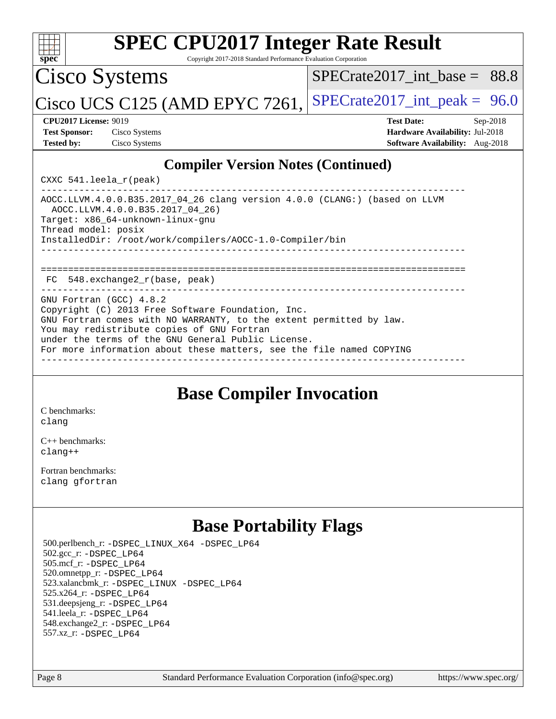

## **[Base Compiler Invocation](http://www.spec.org/auto/cpu2017/Docs/result-fields.html#BaseCompilerInvocation)**

[C benchmarks](http://www.spec.org/auto/cpu2017/Docs/result-fields.html#Cbenchmarks): [clang](http://www.spec.org/cpu2017/results/res2018q4/cpu2017-20181016-09252.flags.html#user_CCbase_Fclang3)

[C++ benchmarks:](http://www.spec.org/auto/cpu2017/Docs/result-fields.html#CXXbenchmarks) [clang++](http://www.spec.org/cpu2017/results/res2018q4/cpu2017-20181016-09252.flags.html#user_CXXbase_Fclang3_57a48582e5be507d19b2527b3e7d4f85d9b8669ffc9a8a0dbb9bcf949a918a58bbab411e0c4d14a3922022a3e425a90db94042683824c1806feff4324ca1000d)

[Fortran benchmarks](http://www.spec.org/auto/cpu2017/Docs/result-fields.html#Fortranbenchmarks): [clang](http://www.spec.org/cpu2017/results/res2018q4/cpu2017-20181016-09252.flags.html#user_FCbase_Fclang3) [gfortran](http://www.spec.org/cpu2017/results/res2018q4/cpu2017-20181016-09252.flags.html#user_FCbase_Fgfortran_128c91a56d61ddb07404721e65b8f9498c31a443dacbd3b7f212891090eca86e2d099b520f75b99e9e8ac4fdec01f4d15f0b65e47123ec4c42b0759045731a1f)

## **[Base Portability Flags](http://www.spec.org/auto/cpu2017/Docs/result-fields.html#BasePortabilityFlags)**

 500.perlbench\_r: [-DSPEC\\_LINUX\\_X64](http://www.spec.org/cpu2017/results/res2018q4/cpu2017-20181016-09252.flags.html#b500.perlbench_r_basePORTABILITY_DSPEC_LINUX_X64) [-DSPEC\\_LP64](http://www.spec.org/cpu2017/results/res2018q4/cpu2017-20181016-09252.flags.html#b500.perlbench_r_baseEXTRA_PORTABILITY_DSPEC_LP64) 502.gcc\_r: [-DSPEC\\_LP64](http://www.spec.org/cpu2017/results/res2018q4/cpu2017-20181016-09252.flags.html#suite_baseEXTRA_PORTABILITY502_gcc_r_DSPEC_LP64) 505.mcf\_r: [-DSPEC\\_LP64](http://www.spec.org/cpu2017/results/res2018q4/cpu2017-20181016-09252.flags.html#suite_baseEXTRA_PORTABILITY505_mcf_r_DSPEC_LP64) 520.omnetpp\_r: [-DSPEC\\_LP64](http://www.spec.org/cpu2017/results/res2018q4/cpu2017-20181016-09252.flags.html#suite_baseEXTRA_PORTABILITY520_omnetpp_r_DSPEC_LP64) 523.xalancbmk\_r: [-DSPEC\\_LINUX](http://www.spec.org/cpu2017/results/res2018q4/cpu2017-20181016-09252.flags.html#b523.xalancbmk_r_basePORTABILITY_DSPEC_LINUX) [-DSPEC\\_LP64](http://www.spec.org/cpu2017/results/res2018q4/cpu2017-20181016-09252.flags.html#suite_baseEXTRA_PORTABILITY523_xalancbmk_r_DSPEC_LP64) 525.x264\_r: [-DSPEC\\_LP64](http://www.spec.org/cpu2017/results/res2018q4/cpu2017-20181016-09252.flags.html#suite_baseEXTRA_PORTABILITY525_x264_r_DSPEC_LP64) 531.deepsjeng\_r: [-DSPEC\\_LP64](http://www.spec.org/cpu2017/results/res2018q4/cpu2017-20181016-09252.flags.html#suite_baseEXTRA_PORTABILITY531_deepsjeng_r_DSPEC_LP64) 541.leela\_r: [-DSPEC\\_LP64](http://www.spec.org/cpu2017/results/res2018q4/cpu2017-20181016-09252.flags.html#suite_baseEXTRA_PORTABILITY541_leela_r_DSPEC_LP64) 548.exchange2\_r: [-DSPEC\\_LP64](http://www.spec.org/cpu2017/results/res2018q4/cpu2017-20181016-09252.flags.html#suite_baseEXTRA_PORTABILITY548_exchange2_r_DSPEC_LP64) 557.xz\_r: [-DSPEC\\_LP64](http://www.spec.org/cpu2017/results/res2018q4/cpu2017-20181016-09252.flags.html#suite_baseEXTRA_PORTABILITY557_xz_r_DSPEC_LP64)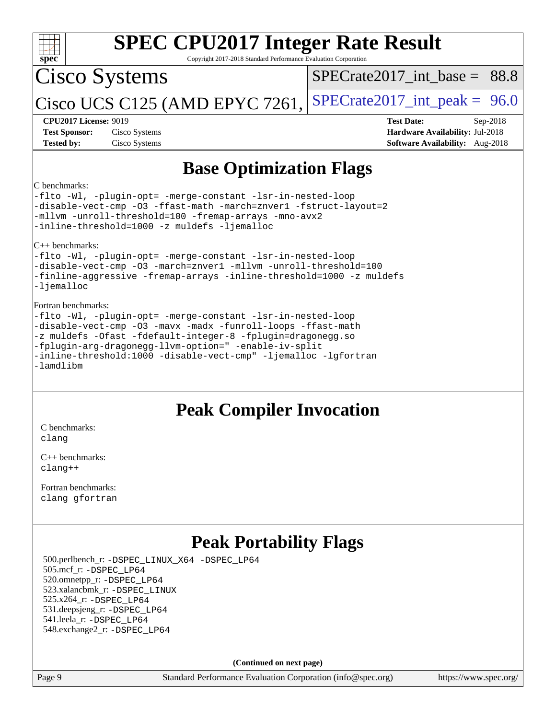| <b>SPEC CPU2017 Integer Rate Result</b><br>Spec<br>Copyright 2017-2018 Standard Performance Evaluation Corporation                                                                                                                                                                                                                                         |                                                                                                                   |  |  |  |  |  |  |
|------------------------------------------------------------------------------------------------------------------------------------------------------------------------------------------------------------------------------------------------------------------------------------------------------------------------------------------------------------|-------------------------------------------------------------------------------------------------------------------|--|--|--|--|--|--|
| <b>Cisco Systems</b>                                                                                                                                                                                                                                                                                                                                       | $SPECTate2017\_int\_base = 88.8$                                                                                  |  |  |  |  |  |  |
| Cisco UCS C125 (AMD EPYC 7261,                                                                                                                                                                                                                                                                                                                             | $SPECrate2017\_int\_peak = 96.0$                                                                                  |  |  |  |  |  |  |
| <b>CPU2017 License: 9019</b><br><b>Test Sponsor:</b><br>Cisco Systems<br><b>Tested by:</b><br>Cisco Systems                                                                                                                                                                                                                                                | <b>Test Date:</b><br>Sep-2018<br><b>Hardware Availability: Jul-2018</b><br><b>Software Availability:</b> Aug-2018 |  |  |  |  |  |  |
| <b>Base Optimization Flags</b>                                                                                                                                                                                                                                                                                                                             |                                                                                                                   |  |  |  |  |  |  |
| C benchmarks:<br>-flto -Wl, -plugin-opt= -merge-constant -lsr-in-nested-loop<br>-disable-vect-cmp -03 -ffast-math -march=znver1 -fstruct-layout=2<br>-mllvm -unroll-threshold=100 -fremap-arrays -mno-avx2<br>-inline-threshold=1000 -z muldefs -ljemalloc                                                                                                 |                                                                                                                   |  |  |  |  |  |  |
| $C_{++}$ benchmarks:<br>-flto -Wl, -plugin-opt= -merge-constant -lsr-in-nested-loop<br>-disable-vect-cmp -03 -march=znver1 -mllvm -unroll-threshold=100<br>-finline-aggressive -fremap-arrays -inline-threshold=1000 -z muldefs<br>-ljemalloc                                                                                                              |                                                                                                                   |  |  |  |  |  |  |
| Fortran benchmarks:<br>-flto -Wl, -plugin-opt= -merge-constant -lsr-in-nested-loop<br>-disable-vect-cmp -03 -mavx -madx -funroll-loops -ffast-math<br>-z muldefs -Ofast -fdefault-integer-8 -fplugin=dragonegg.so<br>-fplugin-arg-dragonegg-llvm-option=" -enable-iv-split<br>-inline-threshold:1000 -disable-vect-cmp" -ljemalloc -lqfortran<br>-lamdlibm |                                                                                                                   |  |  |  |  |  |  |
| <b>Peak Compiler Invocation</b>                                                                                                                                                                                                                                                                                                                            |                                                                                                                   |  |  |  |  |  |  |
| C benchmarks:<br>clang                                                                                                                                                                                                                                                                                                                                     |                                                                                                                   |  |  |  |  |  |  |
| $C_{++}$ benchmarks:<br>$cl$ anq++                                                                                                                                                                                                                                                                                                                         |                                                                                                                   |  |  |  |  |  |  |
| Fortran benchmarks:<br>clang gfortran                                                                                                                                                                                                                                                                                                                      |                                                                                                                   |  |  |  |  |  |  |

## **[Peak Portability Flags](http://www.spec.org/auto/cpu2017/Docs/result-fields.html#PeakPortabilityFlags)**

 500.perlbench\_r: [-DSPEC\\_LINUX\\_X64](http://www.spec.org/cpu2017/results/res2018q4/cpu2017-20181016-09252.flags.html#b500.perlbench_r_peakPORTABILITY_DSPEC_LINUX_X64) [-DSPEC\\_LP64](http://www.spec.org/cpu2017/results/res2018q4/cpu2017-20181016-09252.flags.html#b500.perlbench_r_peakEXTRA_PORTABILITY_DSPEC_LP64) 505.mcf\_r: [-DSPEC\\_LP64](http://www.spec.org/cpu2017/results/res2018q4/cpu2017-20181016-09252.flags.html#suite_peakEXTRA_PORTABILITY505_mcf_r_DSPEC_LP64) 520.omnetpp\_r: [-DSPEC\\_LP64](http://www.spec.org/cpu2017/results/res2018q4/cpu2017-20181016-09252.flags.html#suite_peakEXTRA_PORTABILITY520_omnetpp_r_DSPEC_LP64) 523.xalancbmk\_r: [-DSPEC\\_LINUX](http://www.spec.org/cpu2017/results/res2018q4/cpu2017-20181016-09252.flags.html#b523.xalancbmk_r_peakPORTABILITY_DSPEC_LINUX) 525.x264\_r: [-DSPEC\\_LP64](http://www.spec.org/cpu2017/results/res2018q4/cpu2017-20181016-09252.flags.html#suite_peakEXTRA_PORTABILITY525_x264_r_DSPEC_LP64) 531.deepsjeng\_r: [-DSPEC\\_LP64](http://www.spec.org/cpu2017/results/res2018q4/cpu2017-20181016-09252.flags.html#suite_peakEXTRA_PORTABILITY531_deepsjeng_r_DSPEC_LP64) 541.leela\_r: [-DSPEC\\_LP64](http://www.spec.org/cpu2017/results/res2018q4/cpu2017-20181016-09252.flags.html#suite_peakEXTRA_PORTABILITY541_leela_r_DSPEC_LP64) 548.exchange2\_r: [-DSPEC\\_LP64](http://www.spec.org/cpu2017/results/res2018q4/cpu2017-20181016-09252.flags.html#suite_peakEXTRA_PORTABILITY548_exchange2_r_DSPEC_LP64)

**(Continued on next page)**

Page 9 Standard Performance Evaluation Corporation [\(info@spec.org\)](mailto:info@spec.org) <https://www.spec.org/>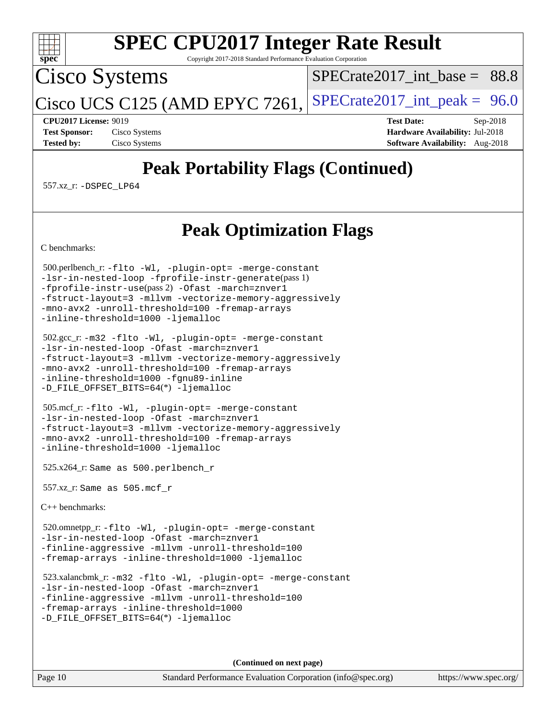

Copyright 2017-2018 Standard Performance Evaluation Corporation

Cisco Systems

SPECrate2017 int\_base =  $88.8$ 

Cisco UCS C125 (AMD EPYC 7261, [SPECrate2017\\_int\\_peak =](http://www.spec.org/auto/cpu2017/Docs/result-fields.html#SPECrate2017intpeak)  $96.0$ 

**[CPU2017 License:](http://www.spec.org/auto/cpu2017/Docs/result-fields.html#CPU2017License)** 9019 **[Test Date:](http://www.spec.org/auto/cpu2017/Docs/result-fields.html#TestDate)** Sep-2018 **[Test Sponsor:](http://www.spec.org/auto/cpu2017/Docs/result-fields.html#TestSponsor)** Cisco Systems **[Hardware Availability:](http://www.spec.org/auto/cpu2017/Docs/result-fields.html#HardwareAvailability)** Jul-2018 **[Tested by:](http://www.spec.org/auto/cpu2017/Docs/result-fields.html#Testedby)** Cisco Systems **[Software Availability:](http://www.spec.org/auto/cpu2017/Docs/result-fields.html#SoftwareAvailability)** Aug-2018

# **[Peak Portability Flags \(Continued\)](http://www.spec.org/auto/cpu2017/Docs/result-fields.html#PeakPortabilityFlags)**

557.xz\_r: [-DSPEC\\_LP64](http://www.spec.org/cpu2017/results/res2018q4/cpu2017-20181016-09252.flags.html#suite_peakEXTRA_PORTABILITY557_xz_r_DSPEC_LP64)

## **[Peak Optimization Flags](http://www.spec.org/auto/cpu2017/Docs/result-fields.html#PeakOptimizationFlags)**

[C benchmarks](http://www.spec.org/auto/cpu2017/Docs/result-fields.html#Cbenchmarks):

 500.perlbench\_r: [-flto](http://www.spec.org/cpu2017/results/res2018q4/cpu2017-20181016-09252.flags.html#user_peakCOPTIMIZEEXTRA_LDFLAGS500_perlbench_r_F-flto) [-Wl,](http://www.spec.org/cpu2017/results/res2018q4/cpu2017-20181016-09252.flags.html#user_peakEXTRA_LDFLAGS500_perlbench_r_F-Wl_5f669859b7c1a0295edc4f5fd536c381023f180a987810cb5cfa1d9467a27ac14b13770b9732d7618b24fc778f3dfdf68b65521d505fc870281e0142944925a0) [-plugin-opt=](http://www.spec.org/cpu2017/results/res2018q4/cpu2017-20181016-09252.flags.html#user_peakEXTRA_LDFLAGS500_perlbench_r_F-plugin-opt_772899571bb6157e4b8feeb3276e6c06dec41c1bbb0aa637c8700742a4baaf7e7b56061e32ae2365a76a44d8c448177ca3ee066cdf7537598ff772fc461942c2) [-merge-constant](http://www.spec.org/cpu2017/results/res2018q4/cpu2017-20181016-09252.flags.html#user_peakEXTRA_LDFLAGS500_perlbench_r_F-merge-constant_bdb3ec75d21d5cf0ab1961ebe7105d0ea3b0c6d89a312cf7efc1d107e6c56c92c36b5d564d0702d1e2526f6b92f188b4413eb5a54b1f9e4a41f5a9bfc0233b92) [-lsr-in-nested-loop](http://www.spec.org/cpu2017/results/res2018q4/cpu2017-20181016-09252.flags.html#user_peakEXTRA_LDFLAGS500_perlbench_r_F-lsr-in-nested-loop) [-fprofile-instr-generate](http://www.spec.org/cpu2017/results/res2018q4/cpu2017-20181016-09252.flags.html#user_peakPASS1_CFLAGSPASS1_LDFLAGS500_perlbench_r_F-fprofile-instr-generate)(pass 1) [-fprofile-instr-use](http://www.spec.org/cpu2017/results/res2018q4/cpu2017-20181016-09252.flags.html#user_peakPASS2_CFLAGSPASS2_LDFLAGS500_perlbench_r_F-fprofile-instr-use)(pass 2) [-Ofast](http://www.spec.org/cpu2017/results/res2018q4/cpu2017-20181016-09252.flags.html#user_peakCOPTIMIZE500_perlbench_r_F-aocc-Ofast) [-march=znver1](http://www.spec.org/cpu2017/results/res2018q4/cpu2017-20181016-09252.flags.html#user_peakCOPTIMIZE500_perlbench_r_F-march) [-fstruct-layout=3](http://www.spec.org/cpu2017/results/res2018q4/cpu2017-20181016-09252.flags.html#user_peakCOPTIMIZE500_perlbench_r_F-fstruct-layout) [-mllvm](http://www.spec.org/cpu2017/results/res2018q4/cpu2017-20181016-09252.flags.html#user_peakCOPTIMIZE500_perlbench_r_F-mllvm_76e3f86ef8d8cc4dfa84cec42d531db351fee284f72cd5d644b5bdbef9c2604296512be6a431d9e19d0523544399ea9dd745afc2fff755a0705d428460dc659e) [-vectorize-memory-aggressively](http://www.spec.org/cpu2017/results/res2018q4/cpu2017-20181016-09252.flags.html#user_peakCOPTIMIZE500_perlbench_r_F-vectorize-memory-aggressively) [-mno-avx2](http://www.spec.org/cpu2017/results/res2018q4/cpu2017-20181016-09252.flags.html#user_peakCOPTIMIZE500_perlbench_r_F-mno-avx2) [-unroll-threshold=100](http://www.spec.org/cpu2017/results/res2018q4/cpu2017-20181016-09252.flags.html#user_peakCOPTIMIZE500_perlbench_r_F-unroll-threshold) [-fremap-arrays](http://www.spec.org/cpu2017/results/res2018q4/cpu2017-20181016-09252.flags.html#user_peakCOPTIMIZE500_perlbench_r_F-fremap-arrays) [-inline-threshold=1000](http://www.spec.org/cpu2017/results/res2018q4/cpu2017-20181016-09252.flags.html#user_peakCOPTIMIZE500_perlbench_r_F-inline-threshold_1daf3e0321a7a0c1ea19068c818f3f119b1e5dfc986cc791557791f4b93536c1546ba0c8585f62303269f504aa232e0ca278e8489928152e32e0752215741730) [-ljemalloc](http://www.spec.org/cpu2017/results/res2018q4/cpu2017-20181016-09252.flags.html#user_peakEXTRA_LIBS500_perlbench_r_F-ljemalloc)

 502.gcc\_r: [-m32](http://www.spec.org/cpu2017/results/res2018q4/cpu2017-20181016-09252.flags.html#user_peakCCLD502_gcc_r_F-m32) [-flto](http://www.spec.org/cpu2017/results/res2018q4/cpu2017-20181016-09252.flags.html#user_peakCOPTIMIZEEXTRA_LDFLAGS502_gcc_r_F-flto) [-Wl,](http://www.spec.org/cpu2017/results/res2018q4/cpu2017-20181016-09252.flags.html#user_peakEXTRA_LDFLAGS502_gcc_r_F-Wl_5f669859b7c1a0295edc4f5fd536c381023f180a987810cb5cfa1d9467a27ac14b13770b9732d7618b24fc778f3dfdf68b65521d505fc870281e0142944925a0) [-plugin-opt=](http://www.spec.org/cpu2017/results/res2018q4/cpu2017-20181016-09252.flags.html#user_peakEXTRA_LDFLAGS502_gcc_r_F-plugin-opt_772899571bb6157e4b8feeb3276e6c06dec41c1bbb0aa637c8700742a4baaf7e7b56061e32ae2365a76a44d8c448177ca3ee066cdf7537598ff772fc461942c2) [-merge-constant](http://www.spec.org/cpu2017/results/res2018q4/cpu2017-20181016-09252.flags.html#user_peakEXTRA_LDFLAGS502_gcc_r_F-merge-constant_bdb3ec75d21d5cf0ab1961ebe7105d0ea3b0c6d89a312cf7efc1d107e6c56c92c36b5d564d0702d1e2526f6b92f188b4413eb5a54b1f9e4a41f5a9bfc0233b92) [-lsr-in-nested-loop](http://www.spec.org/cpu2017/results/res2018q4/cpu2017-20181016-09252.flags.html#user_peakEXTRA_LDFLAGS502_gcc_r_F-lsr-in-nested-loop) [-Ofast](http://www.spec.org/cpu2017/results/res2018q4/cpu2017-20181016-09252.flags.html#user_peakCOPTIMIZE502_gcc_r_F-aocc-Ofast) [-march=znver1](http://www.spec.org/cpu2017/results/res2018q4/cpu2017-20181016-09252.flags.html#user_peakCOPTIMIZE502_gcc_r_F-march) [-fstruct-layout=3](http://www.spec.org/cpu2017/results/res2018q4/cpu2017-20181016-09252.flags.html#user_peakCOPTIMIZE502_gcc_r_F-fstruct-layout) [-mllvm](http://www.spec.org/cpu2017/results/res2018q4/cpu2017-20181016-09252.flags.html#user_peakCOPTIMIZE502_gcc_r_F-mllvm_76e3f86ef8d8cc4dfa84cec42d531db351fee284f72cd5d644b5bdbef9c2604296512be6a431d9e19d0523544399ea9dd745afc2fff755a0705d428460dc659e) [-vectorize-memory-aggressively](http://www.spec.org/cpu2017/results/res2018q4/cpu2017-20181016-09252.flags.html#user_peakCOPTIMIZE502_gcc_r_F-vectorize-memory-aggressively) [-mno-avx2](http://www.spec.org/cpu2017/results/res2018q4/cpu2017-20181016-09252.flags.html#user_peakCOPTIMIZE502_gcc_r_F-mno-avx2) [-unroll-threshold=100](http://www.spec.org/cpu2017/results/res2018q4/cpu2017-20181016-09252.flags.html#user_peakCOPTIMIZE502_gcc_r_F-unroll-threshold) [-fremap-arrays](http://www.spec.org/cpu2017/results/res2018q4/cpu2017-20181016-09252.flags.html#user_peakCOPTIMIZE502_gcc_r_F-fremap-arrays) [-inline-threshold=1000](http://www.spec.org/cpu2017/results/res2018q4/cpu2017-20181016-09252.flags.html#user_peakCOPTIMIZE502_gcc_r_F-inline-threshold_1daf3e0321a7a0c1ea19068c818f3f119b1e5dfc986cc791557791f4b93536c1546ba0c8585f62303269f504aa232e0ca278e8489928152e32e0752215741730) [-fgnu89-inline](http://www.spec.org/cpu2017/results/res2018q4/cpu2017-20181016-09252.flags.html#user_peakEXTRA_COPTIMIZE502_gcc_r_F-gnu89-inline) [-D\\_FILE\\_OFFSET\\_BITS=64](http://www.spec.org/cpu2017/results/res2018q4/cpu2017-20181016-09252.flags.html#user_peakEXTRA_PORTABILITY502_gcc_r_F-D_FILE_OFFSET_BITS_5ae949a99b284ddf4e95728d47cb0843d81b2eb0e18bdfe74bbf0f61d0b064f4bda2f10ea5eb90e1dcab0e84dbc592acfc5018bc955c18609f94ddb8d550002c)(\*) [-ljemalloc](http://www.spec.org/cpu2017/results/res2018q4/cpu2017-20181016-09252.flags.html#user_peakEXTRA_LIBS502_gcc_r_F-ljemalloc)

 505.mcf\_r: [-flto](http://www.spec.org/cpu2017/results/res2018q4/cpu2017-20181016-09252.flags.html#user_peakCOPTIMIZEEXTRA_LDFLAGS505_mcf_r_F-flto) [-Wl,](http://www.spec.org/cpu2017/results/res2018q4/cpu2017-20181016-09252.flags.html#user_peakEXTRA_LDFLAGS505_mcf_r_F-Wl_5f669859b7c1a0295edc4f5fd536c381023f180a987810cb5cfa1d9467a27ac14b13770b9732d7618b24fc778f3dfdf68b65521d505fc870281e0142944925a0) [-plugin-opt=](http://www.spec.org/cpu2017/results/res2018q4/cpu2017-20181016-09252.flags.html#user_peakEXTRA_LDFLAGS505_mcf_r_F-plugin-opt_772899571bb6157e4b8feeb3276e6c06dec41c1bbb0aa637c8700742a4baaf7e7b56061e32ae2365a76a44d8c448177ca3ee066cdf7537598ff772fc461942c2) [-merge-constant](http://www.spec.org/cpu2017/results/res2018q4/cpu2017-20181016-09252.flags.html#user_peakEXTRA_LDFLAGS505_mcf_r_F-merge-constant_bdb3ec75d21d5cf0ab1961ebe7105d0ea3b0c6d89a312cf7efc1d107e6c56c92c36b5d564d0702d1e2526f6b92f188b4413eb5a54b1f9e4a41f5a9bfc0233b92) [-lsr-in-nested-loop](http://www.spec.org/cpu2017/results/res2018q4/cpu2017-20181016-09252.flags.html#user_peakEXTRA_LDFLAGS505_mcf_r_F-lsr-in-nested-loop) [-Ofast](http://www.spec.org/cpu2017/results/res2018q4/cpu2017-20181016-09252.flags.html#user_peakCOPTIMIZE505_mcf_r_F-aocc-Ofast) [-march=znver1](http://www.spec.org/cpu2017/results/res2018q4/cpu2017-20181016-09252.flags.html#user_peakCOPTIMIZE505_mcf_r_F-march) [-fstruct-layout=3](http://www.spec.org/cpu2017/results/res2018q4/cpu2017-20181016-09252.flags.html#user_peakCOPTIMIZE505_mcf_r_F-fstruct-layout) [-mllvm](http://www.spec.org/cpu2017/results/res2018q4/cpu2017-20181016-09252.flags.html#user_peakCOPTIMIZE505_mcf_r_F-mllvm_76e3f86ef8d8cc4dfa84cec42d531db351fee284f72cd5d644b5bdbef9c2604296512be6a431d9e19d0523544399ea9dd745afc2fff755a0705d428460dc659e) [-vectorize-memory-aggressively](http://www.spec.org/cpu2017/results/res2018q4/cpu2017-20181016-09252.flags.html#user_peakCOPTIMIZE505_mcf_r_F-vectorize-memory-aggressively) [-mno-avx2](http://www.spec.org/cpu2017/results/res2018q4/cpu2017-20181016-09252.flags.html#user_peakCOPTIMIZE505_mcf_r_F-mno-avx2) [-unroll-threshold=100](http://www.spec.org/cpu2017/results/res2018q4/cpu2017-20181016-09252.flags.html#user_peakCOPTIMIZE505_mcf_r_F-unroll-threshold) [-fremap-arrays](http://www.spec.org/cpu2017/results/res2018q4/cpu2017-20181016-09252.flags.html#user_peakCOPTIMIZE505_mcf_r_F-fremap-arrays) [-inline-threshold=1000](http://www.spec.org/cpu2017/results/res2018q4/cpu2017-20181016-09252.flags.html#user_peakCOPTIMIZE505_mcf_r_F-inline-threshold_1daf3e0321a7a0c1ea19068c818f3f119b1e5dfc986cc791557791f4b93536c1546ba0c8585f62303269f504aa232e0ca278e8489928152e32e0752215741730) [-ljemalloc](http://www.spec.org/cpu2017/results/res2018q4/cpu2017-20181016-09252.flags.html#user_peakEXTRA_LIBS505_mcf_r_F-ljemalloc)

525.x264\_r: Same as 500.perlbench\_r

557.xz\_r: Same as 505.mcf\_r

[C++ benchmarks:](http://www.spec.org/auto/cpu2017/Docs/result-fields.html#CXXbenchmarks)

 520.omnetpp\_r: [-flto](http://www.spec.org/cpu2017/results/res2018q4/cpu2017-20181016-09252.flags.html#user_peakCXXOPTIMIZEEXTRA_LDFLAGS520_omnetpp_r_F-flto) [-Wl,](http://www.spec.org/cpu2017/results/res2018q4/cpu2017-20181016-09252.flags.html#user_peakEXTRA_LDFLAGS520_omnetpp_r_F-Wl_5f669859b7c1a0295edc4f5fd536c381023f180a987810cb5cfa1d9467a27ac14b13770b9732d7618b24fc778f3dfdf68b65521d505fc870281e0142944925a0) [-plugin-opt=](http://www.spec.org/cpu2017/results/res2018q4/cpu2017-20181016-09252.flags.html#user_peakEXTRA_LDFLAGS520_omnetpp_r_F-plugin-opt_772899571bb6157e4b8feeb3276e6c06dec41c1bbb0aa637c8700742a4baaf7e7b56061e32ae2365a76a44d8c448177ca3ee066cdf7537598ff772fc461942c2) [-merge-constant](http://www.spec.org/cpu2017/results/res2018q4/cpu2017-20181016-09252.flags.html#user_peakEXTRA_LDFLAGS520_omnetpp_r_F-merge-constant_bdb3ec75d21d5cf0ab1961ebe7105d0ea3b0c6d89a312cf7efc1d107e6c56c92c36b5d564d0702d1e2526f6b92f188b4413eb5a54b1f9e4a41f5a9bfc0233b92) [-lsr-in-nested-loop](http://www.spec.org/cpu2017/results/res2018q4/cpu2017-20181016-09252.flags.html#user_peakEXTRA_LDFLAGS520_omnetpp_r_F-lsr-in-nested-loop) [-Ofast](http://www.spec.org/cpu2017/results/res2018q4/cpu2017-20181016-09252.flags.html#user_peakCXXOPTIMIZE520_omnetpp_r_F-aocc-Ofast) [-march=znver1](http://www.spec.org/cpu2017/results/res2018q4/cpu2017-20181016-09252.flags.html#user_peakCXXOPTIMIZE520_omnetpp_r_F-march) [-finline-aggressive](http://www.spec.org/cpu2017/results/res2018q4/cpu2017-20181016-09252.flags.html#user_peakCXXOPTIMIZE520_omnetpp_r_F-finline-aggressive) [-mllvm](http://www.spec.org/cpu2017/results/res2018q4/cpu2017-20181016-09252.flags.html#user_peakCXXOPTIMIZE520_omnetpp_r_F-mllvm_76e3f86ef8d8cc4dfa84cec42d531db351fee284f72cd5d644b5bdbef9c2604296512be6a431d9e19d0523544399ea9dd745afc2fff755a0705d428460dc659e) [-unroll-threshold=100](http://www.spec.org/cpu2017/results/res2018q4/cpu2017-20181016-09252.flags.html#user_peakCXXOPTIMIZE520_omnetpp_r_F-unroll-threshold) [-fremap-arrays](http://www.spec.org/cpu2017/results/res2018q4/cpu2017-20181016-09252.flags.html#user_peakCXXOPTIMIZE520_omnetpp_r_F-fremap-arrays) [-inline-threshold=1000](http://www.spec.org/cpu2017/results/res2018q4/cpu2017-20181016-09252.flags.html#user_peakCXXOPTIMIZE520_omnetpp_r_F-inline-threshold_1daf3e0321a7a0c1ea19068c818f3f119b1e5dfc986cc791557791f4b93536c1546ba0c8585f62303269f504aa232e0ca278e8489928152e32e0752215741730) [-ljemalloc](http://www.spec.org/cpu2017/results/res2018q4/cpu2017-20181016-09252.flags.html#user_peakEXTRA_LIBS520_omnetpp_r_F-ljemalloc)

 523.xalancbmk\_r: [-m32](http://www.spec.org/cpu2017/results/res2018q4/cpu2017-20181016-09252.flags.html#user_peakCXXLD523_xalancbmk_r_F-m32) [-flto](http://www.spec.org/cpu2017/results/res2018q4/cpu2017-20181016-09252.flags.html#user_peakCXXOPTIMIZEEXTRA_LDFLAGS523_xalancbmk_r_F-flto) [-Wl,](http://www.spec.org/cpu2017/results/res2018q4/cpu2017-20181016-09252.flags.html#user_peakEXTRA_LDFLAGS523_xalancbmk_r_F-Wl_5f669859b7c1a0295edc4f5fd536c381023f180a987810cb5cfa1d9467a27ac14b13770b9732d7618b24fc778f3dfdf68b65521d505fc870281e0142944925a0) [-plugin-opt=](http://www.spec.org/cpu2017/results/res2018q4/cpu2017-20181016-09252.flags.html#user_peakEXTRA_LDFLAGS523_xalancbmk_r_F-plugin-opt_772899571bb6157e4b8feeb3276e6c06dec41c1bbb0aa637c8700742a4baaf7e7b56061e32ae2365a76a44d8c448177ca3ee066cdf7537598ff772fc461942c2) [-merge-constant](http://www.spec.org/cpu2017/results/res2018q4/cpu2017-20181016-09252.flags.html#user_peakEXTRA_LDFLAGS523_xalancbmk_r_F-merge-constant_bdb3ec75d21d5cf0ab1961ebe7105d0ea3b0c6d89a312cf7efc1d107e6c56c92c36b5d564d0702d1e2526f6b92f188b4413eb5a54b1f9e4a41f5a9bfc0233b92) [-lsr-in-nested-loop](http://www.spec.org/cpu2017/results/res2018q4/cpu2017-20181016-09252.flags.html#user_peakEXTRA_LDFLAGS523_xalancbmk_r_F-lsr-in-nested-loop) [-Ofast](http://www.spec.org/cpu2017/results/res2018q4/cpu2017-20181016-09252.flags.html#user_peakCXXOPTIMIZE523_xalancbmk_r_F-aocc-Ofast) [-march=znver1](http://www.spec.org/cpu2017/results/res2018q4/cpu2017-20181016-09252.flags.html#user_peakCXXOPTIMIZE523_xalancbmk_r_F-march) [-finline-aggressive](http://www.spec.org/cpu2017/results/res2018q4/cpu2017-20181016-09252.flags.html#user_peakCXXOPTIMIZE523_xalancbmk_r_F-finline-aggressive) [-mllvm](http://www.spec.org/cpu2017/results/res2018q4/cpu2017-20181016-09252.flags.html#user_peakCXXOPTIMIZE523_xalancbmk_r_F-mllvm_76e3f86ef8d8cc4dfa84cec42d531db351fee284f72cd5d644b5bdbef9c2604296512be6a431d9e19d0523544399ea9dd745afc2fff755a0705d428460dc659e) [-unroll-threshold=100](http://www.spec.org/cpu2017/results/res2018q4/cpu2017-20181016-09252.flags.html#user_peakCXXOPTIMIZE523_xalancbmk_r_F-unroll-threshold) [-fremap-arrays](http://www.spec.org/cpu2017/results/res2018q4/cpu2017-20181016-09252.flags.html#user_peakCXXOPTIMIZE523_xalancbmk_r_F-fremap-arrays) [-inline-threshold=1000](http://www.spec.org/cpu2017/results/res2018q4/cpu2017-20181016-09252.flags.html#user_peakCXXOPTIMIZE523_xalancbmk_r_F-inline-threshold_1daf3e0321a7a0c1ea19068c818f3f119b1e5dfc986cc791557791f4b93536c1546ba0c8585f62303269f504aa232e0ca278e8489928152e32e0752215741730) [-D\\_FILE\\_OFFSET\\_BITS=64](http://www.spec.org/cpu2017/results/res2018q4/cpu2017-20181016-09252.flags.html#user_peakEXTRA_PORTABILITY523_xalancbmk_r_F-D_FILE_OFFSET_BITS_5ae949a99b284ddf4e95728d47cb0843d81b2eb0e18bdfe74bbf0f61d0b064f4bda2f10ea5eb90e1dcab0e84dbc592acfc5018bc955c18609f94ddb8d550002c)(\*) [-ljemalloc](http://www.spec.org/cpu2017/results/res2018q4/cpu2017-20181016-09252.flags.html#user_peakEXTRA_LIBS523_xalancbmk_r_F-ljemalloc)

**(Continued on next page)**